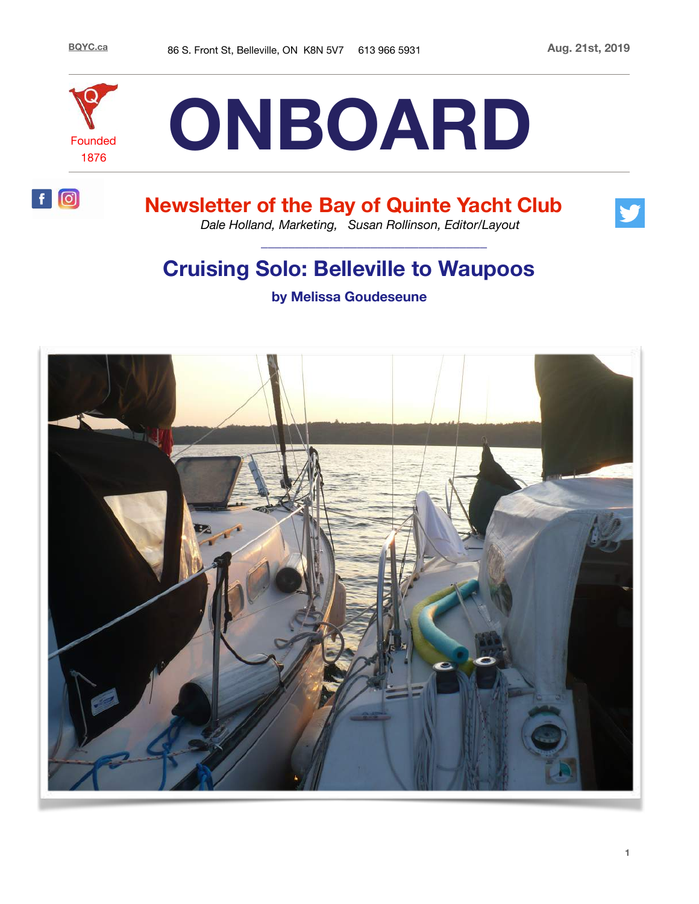

 $f|0$ 



# **Newsletter of the Bay of Quinte Yacht Club**



*Dale Holland, Marketing, Susan Rollinson, Editor/Layout*

# **Cruising Solo: Belleville to Waupoos**

 **\_\_\_\_\_\_\_\_\_\_\_\_\_\_\_\_\_\_\_\_\_\_\_\_\_\_\_\_\_\_\_\_\_** 

**by Melissa Goudeseune**

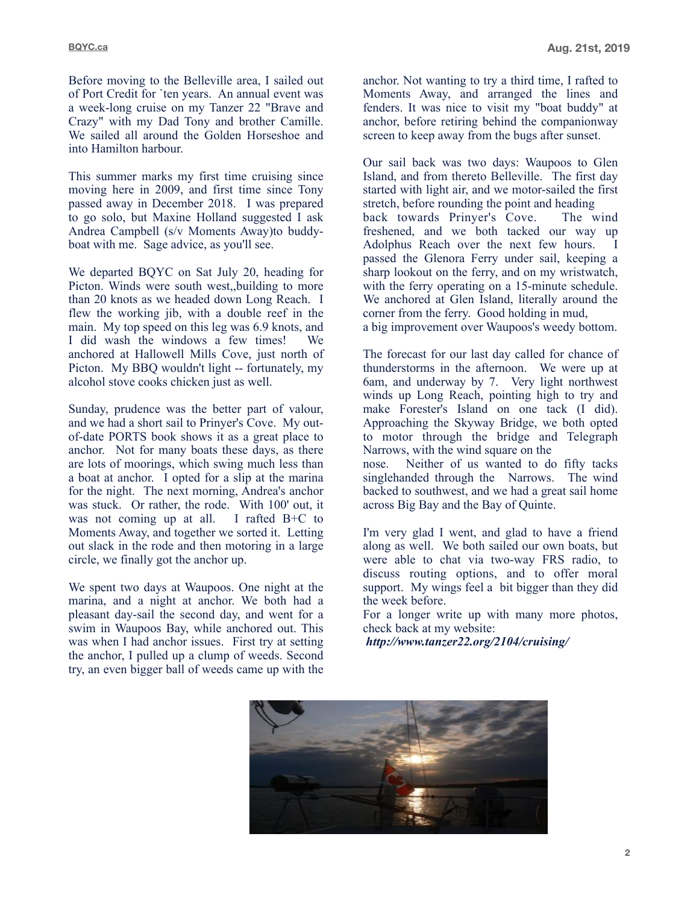Before moving to the Belleville area, I sailed out of Port Credit for `ten years. An annual event was a week-long cruise on my Tanzer 22 "Brave and Crazy" with my Dad Tony and brother Camille. We sailed all around the Golden Horseshoe and into Hamilton harbour.

This summer marks my first time cruising since moving here in 2009, and first time since Tony passed away in December 2018. I was prepared to go solo, but Maxine Holland suggested I ask Andrea Campbell (s/v Moments Away)to buddyboat with me. Sage advice, as you'll see.

We departed BQYC on Sat July 20, heading for Picton. Winds were south west,,building to more than 20 knots as we headed down Long Reach. I flew the working jib, with a double reef in the main. My top speed on this leg was 6.9 knots, and I did wash the windows a few times! We anchored at Hallowell Mills Cove, just north of Picton. My BBQ wouldn't light -- fortunately, my alcohol stove cooks chicken just as well.

Sunday, prudence was the better part of valour, and we had a short sail to Prinyer's Cove. My outof-date PORTS book shows it as a great place to anchor. Not for many boats these days, as there are lots of moorings, which swing much less than a boat at anchor. I opted for a slip at the marina for the night. The next morning, Andrea's anchor was stuck. Or rather, the rode. With 100' out, it was not coming up at all. I rafted B+C to Moments Away, and together we sorted it. Letting out slack in the rode and then motoring in a large circle, we finally got the anchor up.

We spent two days at Waupoos. One night at the marina, and a night at anchor. We both had a pleasant day-sail the second day, and went for a swim in Waupoos Bay, while anchored out. This was when I had anchor issues. First try at setting the anchor, I pulled up a clump of weeds. Second try, an even bigger ball of weeds came up with the anchor. Not wanting to try a third time, I rafted to Moments Away, and arranged the lines and fenders. It was nice to visit my "boat buddy" at anchor, before retiring behind the companionway screen to keep away from the bugs after sunset.

Our sail back was two days: Waupoos to Glen Island, and from thereto Belleville. The first day started with light air, and we motor-sailed the first stretch, before rounding the point and heading back towards Prinyer's Cove. The wind freshened, and we both tacked our way up Adolphus Reach over the next few hours. I passed the Glenora Ferry under sail, keeping a sharp lookout on the ferry, and on my wristwatch, with the ferry operating on a 15-minute schedule. We anchored at Glen Island, literally around the corner from the ferry. Good holding in mud, a big improvement over Waupoos's weedy bottom.

The forecast for our last day called for chance of thunderstorms in the afternoon. We were up at 6am, and underway by 7. Very light northwest winds up Long Reach, pointing high to try and make Forester's Island on one tack (I did). Approaching the Skyway Bridge, we both opted to motor through the bridge and Telegraph Narrows, with the wind square on the

nose. Neither of us wanted to do fifty tacks singlehanded through the Narrows. The wind backed to southwest, and we had a great sail home across Big Bay and the Bay of Quinte.

I'm very glad I went, and glad to have a friend along as well. We both sailed our own boats, but were able to chat via two-way FRS radio, to discuss routing options, and to offer moral support. My wings feel a bit bigger than they did the week before.

For a longer write up with many more photos, check back at my website:

 *http://www.tanzer22.org/2104/cruising/* 

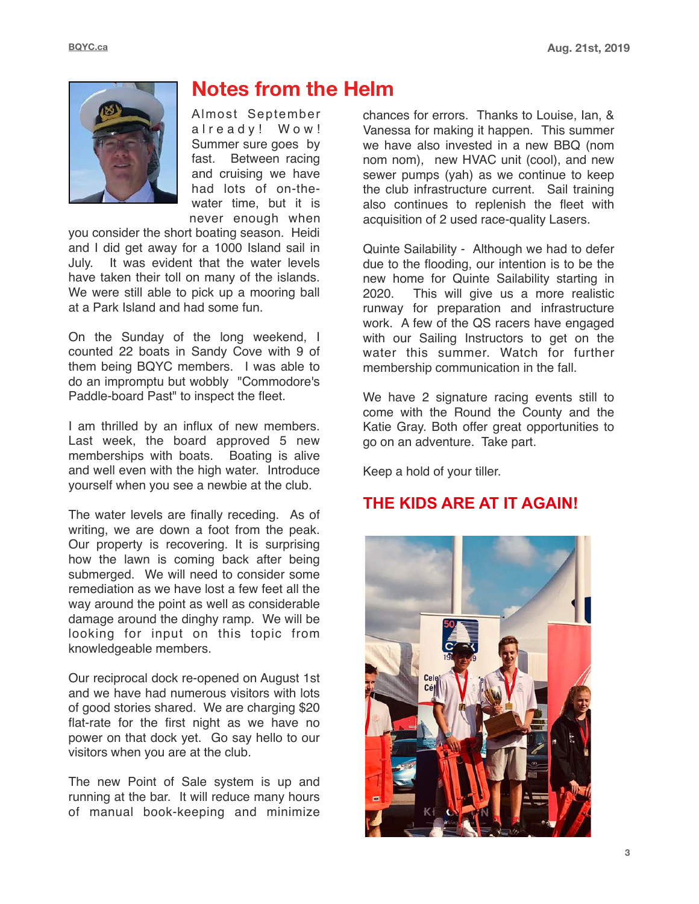

# **Notes from the Helm**

Almost September already! Wow! Summer sure goes by fast. Between racing and cruising we have had lots of on-thewater time, but it is never enough when

you consider the short boating season. Heidi and I did get away for a 1000 Island sail in July. It was evident that the water levels have taken their toll on many of the islands. We were still able to pick up a mooring ball at a Park Island and had some fun.

On the Sunday of the long weekend, I counted 22 boats in Sandy Cove with 9 of them being BQYC members. I was able to do an impromptu but wobbly "Commodore's Paddle-board Past" to inspect the fleet.

I am thrilled by an influx of new members. Last week, the board approved 5 new memberships with boats. Boating is alive and well even with the high water. Introduce yourself when you see a newbie at the club.

The water levels are finally receding. As of writing, we are down a foot from the peak. Our property is recovering. It is surprising how the lawn is coming back after being submerged. We will need to consider some remediation as we have lost a few feet all the way around the point as well as considerable damage around the dinghy ramp. We will be looking for input on this topic from knowledgeable members.

Our reciprocal dock re-opened on August 1st and we have had numerous visitors with lots of good stories shared. We are charging \$20 flat-rate for the first night as we have no power on that dock yet. Go say hello to our visitors when you are at the club.

The new Point of Sale system is up and running at the bar. It will reduce many hours of manual book-keeping and minimize

chances for errors. Thanks to Louise, Ian, & Vanessa for making it happen. This summer we have also invested in a new BBQ (nom nom nom), new HVAC unit (cool), and new sewer pumps (yah) as we continue to keep the club infrastructure current. Sail training also continues to replenish the fleet with acquisition of 2 used race-quality Lasers.

Quinte Sailability - Although we had to defer due to the flooding, our intention is to be the new home for Quinte Sailability starting in 2020. This will give us a more realistic runway for preparation and infrastructure work. A few of the QS racers have engaged with our Sailing Instructors to get on the water this summer. Watch for further membership communication in the fall.

We have 2 signature racing events still to come with the Round the County and the Katie Gray. Both offer great opportunities to go on an adventure. Take part.

Keep a hold of your tiller.

## **THE KIDS ARE AT IT AGAIN!**

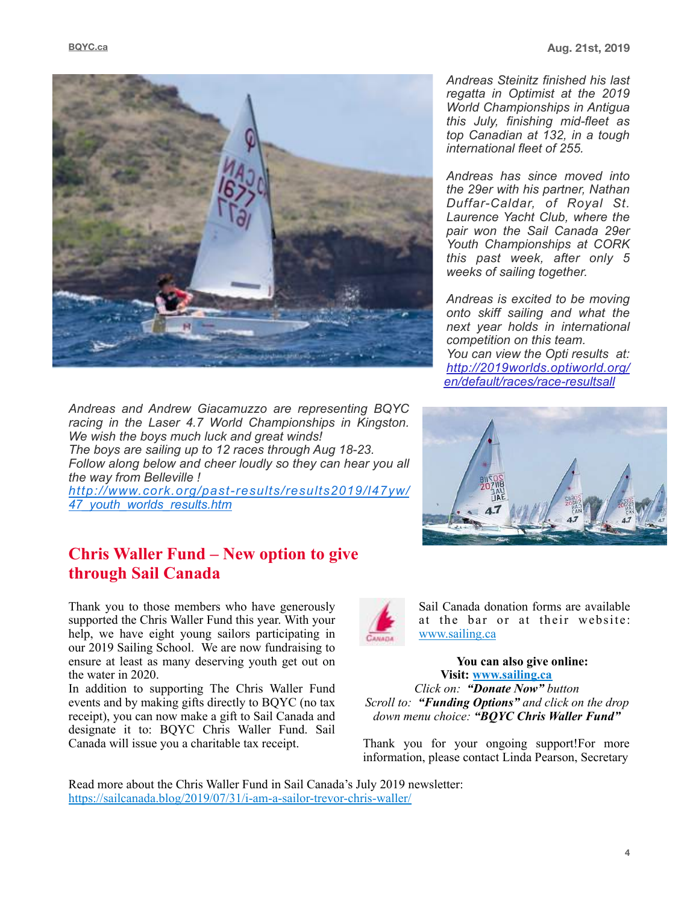

*Andreas and Andrew Giacamuzzo are representing BQYC racing in the Laser 4.7 World Championships in Kingston. We wish the boys much luck and great winds! The boys are sailing up to 12 races through Aug 18-23. Follow along below and cheer loudly so they can hear you all the way from Belleville ! [http://www.cork.org/past-results/results2019/l47yw/](http://www.cork.org/past-results/results2019/l47yw/47_youth_worlds_results.htm%22%20%5Ct%20%22_blank) [47\\_youth\\_worlds\\_results.htm](http://www.cork.org/past-results/results2019/l47yw/47_youth_worlds_results.htm%22%20%5Ct%20%22_blank)* 

## **Chris Waller Fund – New option to give through Sail Canada**

Thank you to those members who have generously supported the Chris Waller Fund this year. With your help, we have eight young sailors participating in our 2019 Sailing School. We are now fundraising to ensure at least as many deserving youth get out on the water in 2020.

In addition to supporting The Chris Waller Fund events and by making gifts directly to BQYC (no tax receipt), you can now make a gift to Sail Canada and designate it to: BQYC Chris Waller Fund. Sail Canada will issue you a charitable tax receipt.



Sail Canada donation forms are available at the bar or at their website: [www.sailing.ca](http://www.sailing.ca)

> **You can also give online: Visit: [www.sailing.ca](http://www.sailing.ca)**

*Click on: "Donate Now" button Scroll to: "Funding Options" and click on the drop down menu choice: "BQYC Chris Waller Fund"* 

Thank you for your ongoing support!For more information, please contact Linda Pearson, Secretary

Read more about the Chris Waller Fund in Sail Canada's July 2019 newsletter: [https://sailcanada.blog/2019/07/31/i-am-a-sailor-trevor-chris-waller/](https://sailcanada.blog/2019/07/31/i-am-a-sailor-trevor-chris-waller/%22%20%5Ct%20%22_blank)

*Andreas Steinitz finished his last regatta in Optimist at the 2019 World Championships in Antigua this July, finishing mid-fleet as top Canadian at 132, in a tough international fleet of 255.* 

*Andreas has since moved into the 29er with his partner, Nathan Duffar-Caldar, of Royal St. Laurence Yacht Club, where the pair won the Sail Canada 29er Youth Championships at CORK this past week, after only 5 weeks of sailing together.* 

*Andreas is excited to be moving onto skiff sailing and what the next year holds in international competition on this team. You can view the Opti results at: [http://2019worlds.optiworld.org/](http://2019worlds.optiworld.org/en/default/races/race-resultsall) [en/default/races/race-resultsall](http://2019worlds.optiworld.org/en/default/races/race-resultsall)*

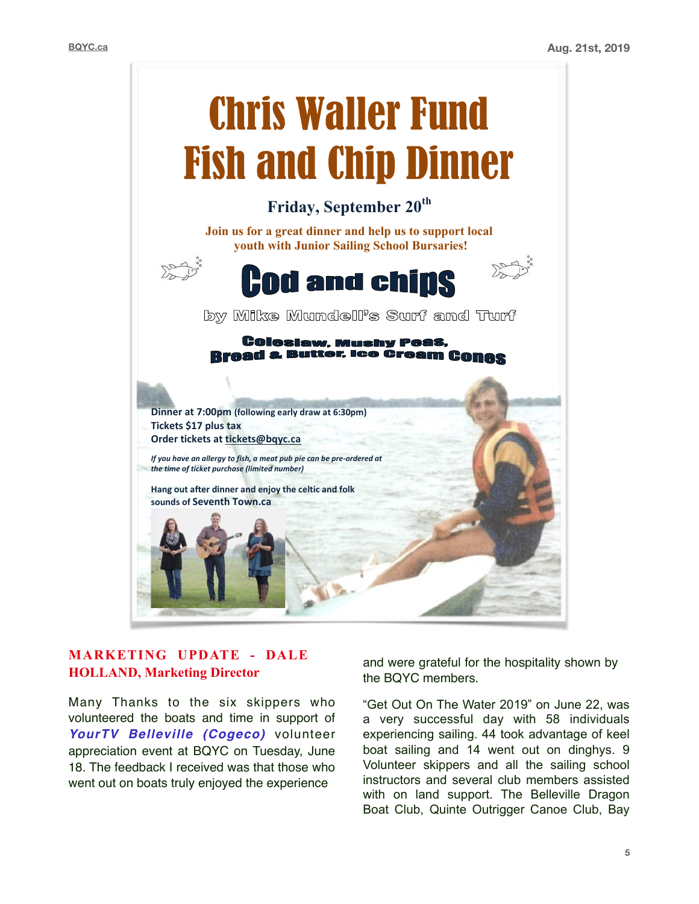

### **MARKETING UPDATE - DALE HOLLAND, Marketing Director**

Many Thanks to the six skippers who volunteered the boats and time in support of *YourTV Belleville (Cogeco)* volunteer appreciation event at BQYC on Tuesday, June 18. The feedback I received was that those who went out on boats truly enjoyed the experience

and were grateful for the hospitality shown by the BQYC members.

"Get Out On The Water 2019" on June 22, was a very successful day with 58 individuals experiencing sailing. 44 took advantage of keel boat sailing and 14 went out on dinghys. 9 Volunteer skippers and all the sailing school instructors and several club members assisted with on land support. The Belleville Dragon Boat Club, Quinte Outrigger Canoe Club, Bay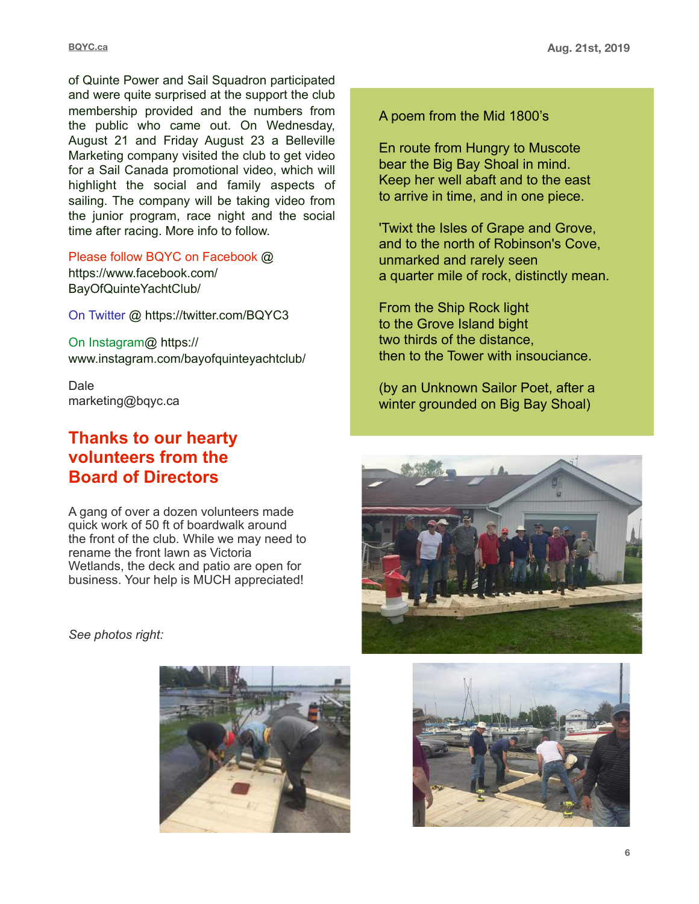of Quinte Power and Sail Squadron participated and were quite surprised at the support the club membership provided and the numbers from the public who came out. On Wednesday, August 21 and Friday August 23 a Belleville Marketing company visited the club to get video for a Sail Canada promotional video, which will highlight the social and family aspects of sailing. The company will be taking video from the junior program, race night and the social time after racing. More info to follow.

Please follow BQYC on Facebook @ https://www.facebook.com/ BayOfQuinteYachtClub/

On Twitter @ https://twitter.com/BQYC3

On Instagram@ https:// www.instagram.com/bayofquinteyachtclub/

Dale marketing@bqyc.ca

## **Thanks to our hearty volunteers from the Board of Directors**

A gang of over a dozen volunteers made quick work of 50 ft of boardwalk around the front of the club. While we may need to rename the front lawn as Victoria Wetlands, the deck and patio are open for business. Your help is MUCH appreciated!

*See photos right:*



A poem from the Mid 1800's

En route from Hungry to Muscote bear the Big Bay Shoal in mind. Keep her well abaft and to the east to arrive in time, and in one piece.

'Twixt the Isles of Grape and Grove, and to the north of Robinson's Cove, unmarked and rarely seen a quarter mile of rock, distinctly mean.

From the Ship Rock light to the Grove Island bight two thirds of the distance, then to the Tower with insouciance.

(by an Unknown Sailor Poet, after a winter grounded on Big Bay Shoal)



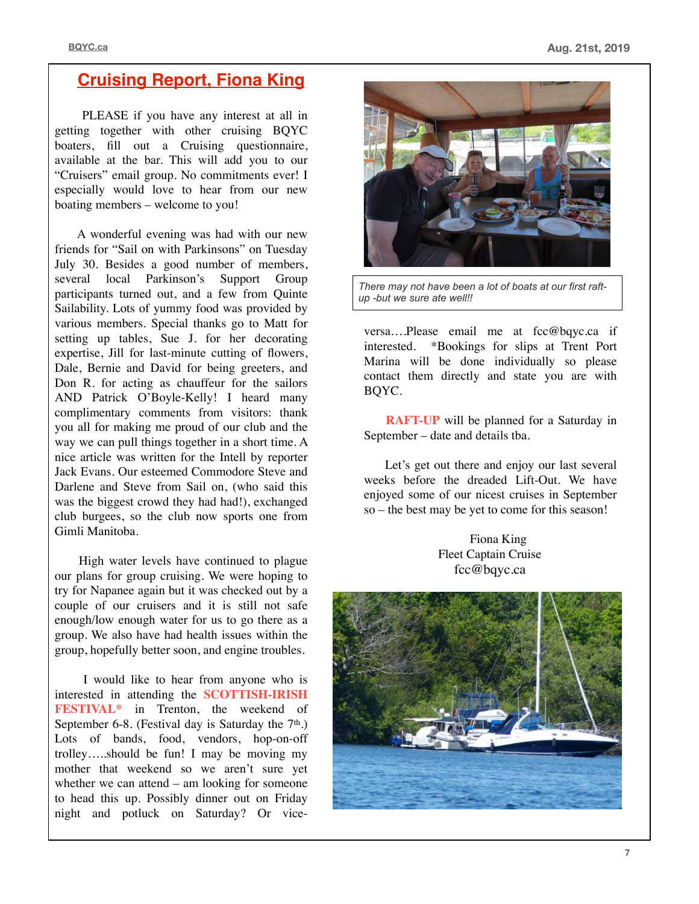## **Cruising Report, Fiona King**

 PLEASE if you have any interest at all in getting together with other cruising BQYC boaters, fill out a Cruising questionnaire, available at the bar. This will add you to our "Cruisers" email group. No commitments ever! I especially would love to hear from our new boating members – welcome to you!

 A wonderful evening was had with our new friends for "Sail on with Parkinsons" on Tuesday July 30. Besides a good number of members, several local Parkinson's Support Group participants turned out, and a few from Quinte Sailability. Lots of yummy food was provided by various members. Special thanks go to Matt for setting up tables, Sue J. for her decorating expertise, Jill for last-minute cutting of flowers, Dale, Bernie and David for being greeters, and Don R. for acting as chauffeur for the sailors AND Patrick O'Boyle-Kelly! I heard many complimentary comments from visitors: thank you all for making me proud of our club and the way we can pull things together in a short time. A nice article was written for the Intell by reporter Jack Evans. Our esteemed Commodore Steve and Darlene and Steve from Sail on, (who said this was the biggest crowd they had had!), exchanged club burgees, so the club now sports one from Gimli Manitoba.

 High water levels have continued to plague our plans for group cruising. We were hoping to try for Napanee again but it was checked out by a couple of our cruisers and it is still not safe enough/low enough water for us to go there as a group. We also have had health issues within the group, hopefully better soon, and engine troubles.

 I would like to hear from anyone who is interested in attending the **SCOTTISH-IRISH FESTIVAL\*** in Trenton, the weekend of September 6-8. (Festival day is Saturday the  $7<sup>th</sup>$ .) Lots of bands, food, vendors, hop-on-off trolley…..should be fun! I may be moving my mother that weekend so we aren't sure yet whether we can attend – am looking for someone to head this up. Possibly dinner out on Friday night and potluck on Saturday? Or vice-



*There may not have been a lot of boats at our first raftup -but we sure ate well!!*

versa....Please email me at [fcc@bqyc.ca](mailto:fcc@bqyc.ca) if interested. \*Bookings for slips at Trent Port Marina will be done individually so please contact them directly and state you are with BQYC.

 **RAFT-UP** will be planned for a Saturday in September – date and details tba.

 Let's get out there and enjoy our last several weeks before the dreaded Lift-Out. We have enjoyed some of our nicest cruises in September so – the best may be yet to come for this season!

> Fiona King Fleet Captain Cruise [fcc@bqyc.ca](mailto:fcc@bqyc.ca)

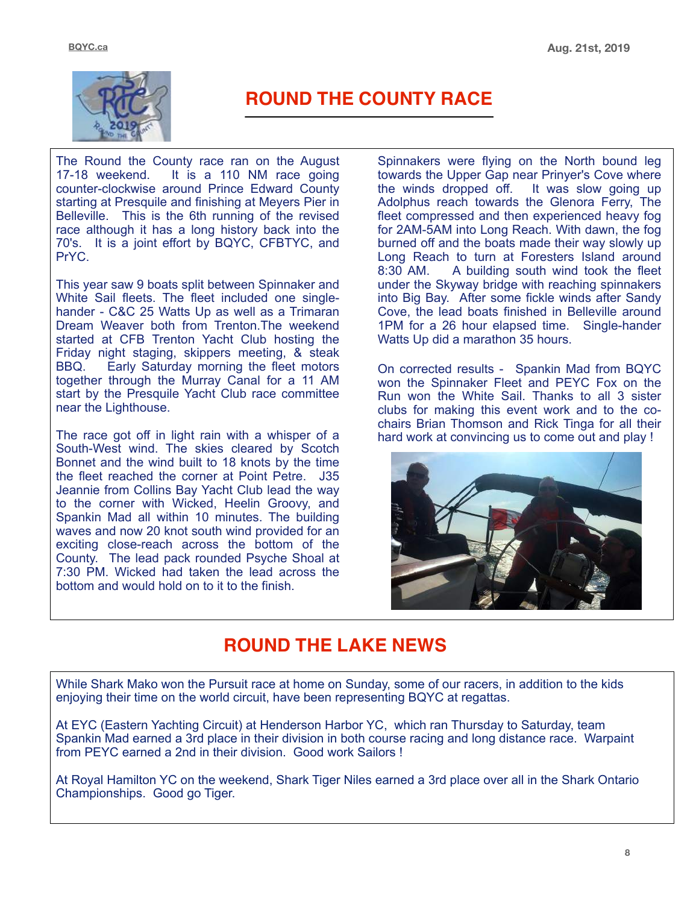

# **ROUND THE COUNTY RACE**

The Round the County race ran on the August 17-18 weekend. It is a 110 NM race going counter-clockwise around Prince Edward County starting at Presquile and finishing at Meyers Pier in Belleville. This is the 6th running of the revised race although it has a long history back into the 70's. It is a joint effort by BQYC, CFBTYC, and PrYC.

This year saw 9 boats split between Spinnaker and White Sail fleets. The fleet included one singlehander - C&C 25 Watts Up as well as a Trimaran Dream Weaver both from Trenton.The weekend started at CFB Trenton Yacht Club hosting the Friday night staging, skippers meeting, & steak BBQ. Early Saturday morning the fleet motors together through the Murray Canal for a 11 AM start by the Presquile Yacht Club race committee near the Lighthouse.

The race got off in light rain with a whisper of a South-West wind. The skies cleared by Scotch Bonnet and the wind built to 18 knots by the time the fleet reached the corner at Point Petre. J35 Jeannie from Collins Bay Yacht Club lead the way to the corner with Wicked, Heelin Groovy, and Spankin Mad all within 10 minutes. The building waves and now 20 knot south wind provided for an exciting close-reach across the bottom of the County. The lead pack rounded Psyche Shoal at 7:30 PM. Wicked had taken the lead across the bottom and would hold on to it to the finish.

Spinnakers were flying on the North bound leg towards the Upper Gap near Prinyer's Cove where<br>the winds dropped off. It was slow going up the winds dropped off. Adolphus reach towards the Glenora Ferry, The fleet compressed and then experienced heavy fog for 2AM-5AM into Long Reach. With dawn, the fog burned off and the boats made their way slowly up Long Reach to turn at Foresters Island around 8:30 AM. A building south wind took the fleet A building south wind took the fleet under the Skyway bridge with reaching spinnakers into Big Bay. After some fickle winds after Sandy Cove, the lead boats finished in Belleville around 1PM for a 26 hour elapsed time. Single-hander Watts Up did a marathon 35 hours.

On corrected results - Spankin Mad from BQYC won the Spinnaker Fleet and PEYC Fox on the Run won the White Sail. Thanks to all 3 sister clubs for making this event work and to the cochairs Brian Thomson and Rick Tinga for all their hard work at convincing us to come out and play !



# **ROUND THE LAKE NEWS**

While Shark Mako won the Pursuit race at home on Sunday, some of our racers, in addition to the kids enjoying their time on the world circuit, have been representing BQYC at regattas.

At EYC (Eastern Yachting Circuit) at Henderson Harbor YC, which ran Thursday to Saturday, team Spankin Mad earned a 3rd place in their division in both course racing and long distance race. Warpaint from PEYC earned a 2nd in their division. Good work Sailors !

At Royal Hamilton YC on the weekend, Shark Tiger Niles earned a 3rd place over all in the Shark Ontario Championships. Good go Tiger.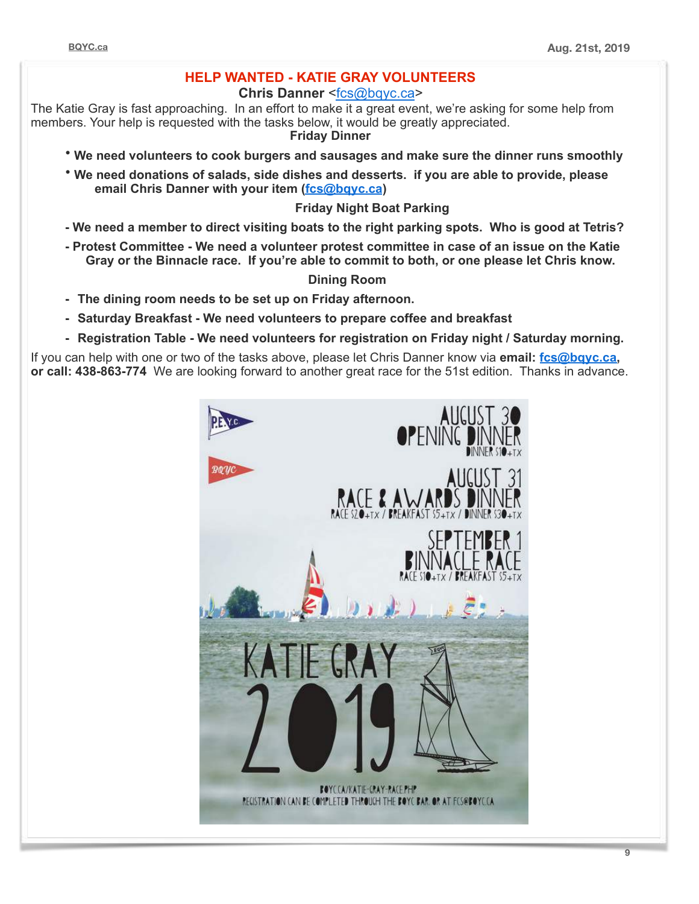### **HELP WANTED - KATIE GRAY VOLUNTEERS**

**Chris Danner** [<fcs@bqyc.ca>](mailto:fcs@bqyc.ca%22%20%5Ct%20%22_blank)

The Katie Gray is fast approaching. In an effort to make it a great event, we're asking for some help from members. Your help is requested with the tasks below, it would be greatly appreciated. **Friday Dinner**

- **We need volunteers to cook burgers and sausages and make sure the dinner runs smoothly**
- **We need donations of salads, side dishes and desserts. if you are able to provide, please email Chris Danner with your item [\(fcs@bqyc.ca\)](mailto:fcs@bqyc.ca%22%20%5Ct%20%22_blank)**

#### **Friday Night Boat Parking**

- **We need a member to direct visiting boats to the right parking spots. Who is good at Tetris?**
- **Protest Committee We need a volunteer protest committee in case of an issue on the Katie Gray or the Binnacle race. If you're able to commit to both, or one please let Chris know.**

#### **Dining Room**

- **- The dining room needs to be set up on Friday afternoon.**
- **- Saturday Breakfast We need volunteers to prepare coffee and breakfast**
- **- Registration Table We need volunteers for registration on Friday night / Saturday morning.**

If you can help with one or two of the tasks above, please let Chris Danner know via **email: [fcs@bqyc.ca,](mailto:fcs@bqyc.ca%22%20%5Ct%20%22_blank)  or call: 438-863-774** We are looking forward to another great race for the 51st edition. Thanks in advance.

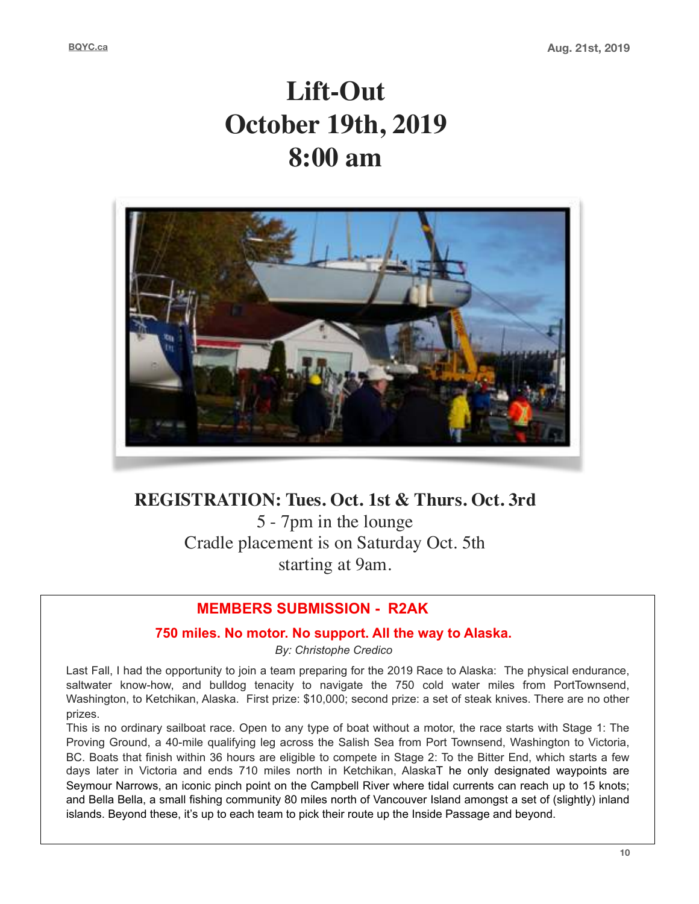# **Lift-Out October 19th, 2019 8:00 am**



## **REGISTRATION: Tues. Oct. 1st & Thurs. Oct. 3rd**

5 - 7pm in the lounge Cradle placement is on Saturday Oct. 5th starting at 9am.

## **MEMBERS SUBMISSION - R2AK**

#### **750 miles. No motor. No support. All the way to Alaska.**

*By: Christophe Credico* 

Last Fall, I had the opportunity to join a team preparing for the 2019 Race to Alaska: The physical endurance, saltwater know-how, and bulldog tenacity to navigate the 750 cold water miles from PortTownsend, Washington, to Ketchikan, Alaska. First prize: \$10,000; second prize: a set of steak knives. There are no other prizes.

This is no ordinary sailboat race. Open to any type of boat without a motor, the race starts with Stage 1: The Proving Ground, a 40-mile qualifying leg across the Salish Sea from Port Townsend, Washington to Victoria, BC. Boats that finish within 36 hours are eligible to compete in Stage 2: To the Bitter End, which starts a few days later in Victoria and ends 710 miles north in Ketchikan, AlaskaT he only designated waypoints are Seymour Narrows, an iconic pinch point on the Campbell River where tidal currents can reach up to 15 knots; and Bella Bella, a small fishing community 80 miles north of Vancouver Island amongst a set of (slightly) inland islands. Beyond these, it's up to each team to pick their route up the Inside Passage and beyond.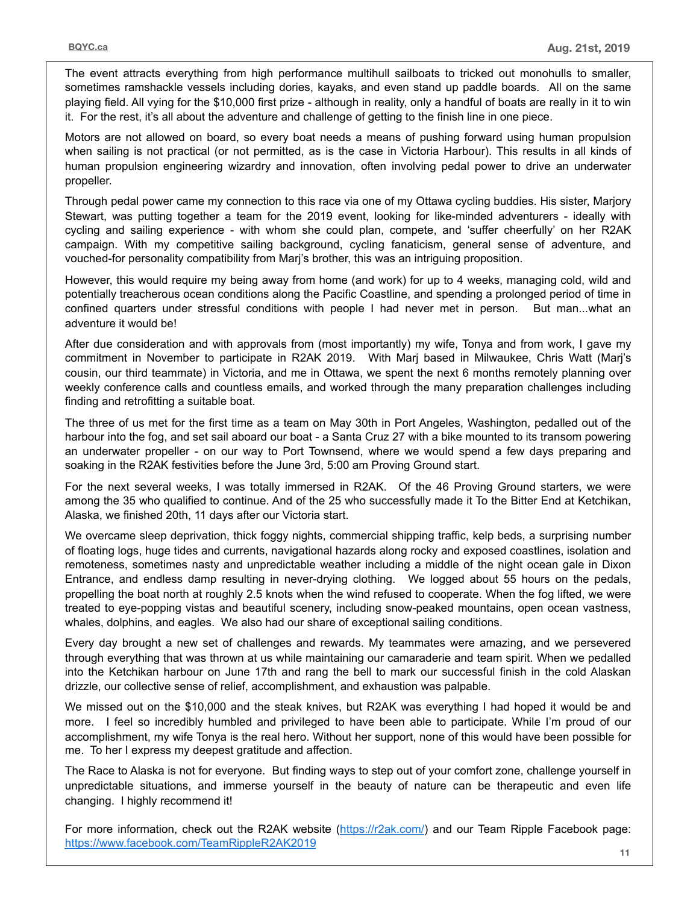The event attracts everything from high performance multihull sailboats to tricked out monohulls to smaller, sometimes ramshackle vessels including dories, kayaks, and even stand up paddle boards. All on the same playing field. All vying for the \$10,000 first prize - although in reality, only a handful of boats are really in it to win it. For the rest, it's all about the adventure and challenge of getting to the finish line in one piece.

Motors are not allowed on board, so every boat needs a means of pushing forward using human propulsion when sailing is not practical (or not permitted, as is the case in Victoria Harbour). This results in all kinds of human propulsion engineering wizardry and innovation, often involving pedal power to drive an underwater propeller.

Through pedal power came my connection to this race via one of my Ottawa cycling buddies. His sister, Marjory Stewart, was putting together a team for the 2019 event, looking for like-minded adventurers - ideally with cycling and sailing experience - with whom she could plan, compete, and 'suffer cheerfully' on her R2AK campaign. With my competitive sailing background, cycling fanaticism, general sense of adventure, and vouched-for personality compatibility from Marj's brother, this was an intriguing proposition.

However, this would require my being away from home (and work) for up to 4 weeks, managing cold, wild and potentially treacherous ocean conditions along the Pacific Coastline, and spending a prolonged period of time in confined quarters under stressful conditions with people I had never met in person. But man...what an adventure it would be!

After due consideration and with approvals from (most importantly) my wife, Tonya and from work, I gave my commitment in November to participate in R2AK 2019. With Marj based in Milwaukee, Chris Watt (Marj's cousin, our third teammate) in Victoria, and me in Ottawa, we spent the next 6 months remotely planning over weekly conference calls and countless emails, and worked through the many preparation challenges including finding and retrofitting a suitable boat.

The three of us met for the first time as a team on May 30th in Port Angeles, Washington, pedalled out of the harbour into the fog, and set sail aboard our boat - a Santa Cruz 27 with a bike mounted to its transom powering an underwater propeller - on our way to Port Townsend, where we would spend a few days preparing and soaking in the R2AK festivities before the June 3rd, 5:00 am Proving Ground start.

For the next several weeks, I was totally immersed in R2AK. Of the 46 Proving Ground starters, we were among the 35 who qualified to continue. And of the 25 who successfully made it To the Bitter End at Ketchikan, Alaska, we finished 20th, 11 days after our Victoria start.

We overcame sleep deprivation, thick foggy nights, commercial shipping traffic, kelp beds, a surprising number of floating logs, huge tides and currents, navigational hazards along rocky and exposed coastlines, isolation and remoteness, sometimes nasty and unpredictable weather including a middle of the night ocean gale in Dixon Entrance, and endless damp resulting in never-drying clothing. We logged about 55 hours on the pedals, propelling the boat north at roughly 2.5 knots when the wind refused to cooperate. When the fog lifted, we were treated to eye-popping vistas and beautiful scenery, including snow-peaked mountains, open ocean vastness, whales, dolphins, and eagles. We also had our share of exceptional sailing conditions.

Every day brought a new set of challenges and rewards. My teammates were amazing, and we persevered through everything that was thrown at us while maintaining our camaraderie and team spirit. When we pedalled into the Ketchikan harbour on June 17th and rang the bell to mark our successful finish in the cold Alaskan drizzle, our collective sense of relief, accomplishment, and exhaustion was palpable.

We missed out on the \$10,000 and the steak knives, but R2AK was everything I had hoped it would be and more. I feel so incredibly humbled and privileged to have been able to participate. While I'm proud of our accomplishment, my wife Tonya is the real hero. Without her support, none of this would have been possible for me. To her I express my deepest gratitude and affection.

The Race to Alaska is not for everyone. But finding ways to step out of your comfort zone, challenge yourself in unpredictable situations, and immerse yourself in the beauty of nature can be therapeutic and even life changing. I highly recommend it!

For more information, check out the R2AK website [\(https://r2ak.com/\)](https://r2ak.com/) and our Team Ripple Facebook page: <https://www.facebook.com/TeamRippleR2AK2019>